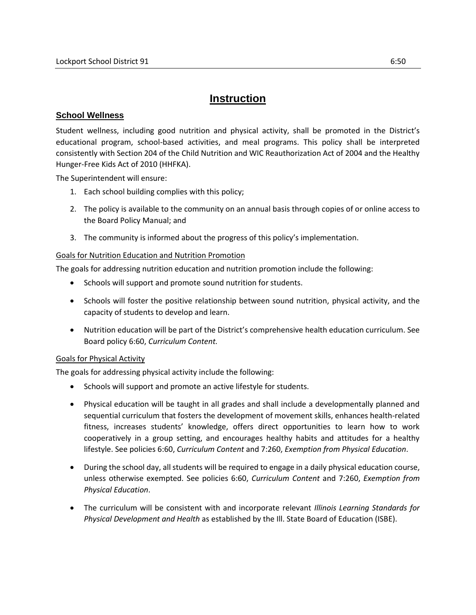# **Instruction**

## **School Wellness**

Student wellness, including good nutrition and physical activity, shall be promoted in the District's educational program, school-based activities, and meal programs. This policy shall be interpreted consistently with Section 204 of the Child Nutrition and WIC Reauthorization Act of 2004 and the Healthy Hunger-Free Kids Act of 2010 (HHFKA).

The Superintendent will ensure:

- 1. Each school building complies with this policy;
- 2. The policy is available to the community on an annual basis through copies of or online access to the Board Policy Manual; and
- 3. The community is informed about the progress of this policy's implementation.

## Goals for Nutrition Education and Nutrition Promotion

The goals for addressing nutrition education and nutrition promotion include the following:

- Schools will support and promote sound nutrition for students.
- Schools will foster the positive relationship between sound nutrition, physical activity, and the capacity of students to develop and learn.
- Nutrition education will be part of the District's comprehensive health education curriculum. See Board policy 6:60, *Curriculum Content.*

## Goals for Physical Activity

The goals for addressing physical activity include the following:

- Schools will support and promote an active lifestyle for students.
- Physical education will be taught in all grades and shall include a developmentally planned and sequential curriculum that fosters the development of movement skills, enhances health-related fitness, increases students' knowledge, offers direct opportunities to learn how to work cooperatively in a group setting, and encourages healthy habits and attitudes for a healthy lifestyle. See policies 6:60, *Curriculum Content* and 7:260, *Exemption from Physical Education*.
- During the school day, all students will be required to engage in a daily physical education course, unless otherwise exempted. See policies 6:60, *Curriculum Content* and 7:260, *Exemption from Physical Education*.
- The curriculum will be consistent with and incorporate relevant *Illinois Learning Standards for Physical Development and Health* as established by the Ill. State Board of Education (ISBE).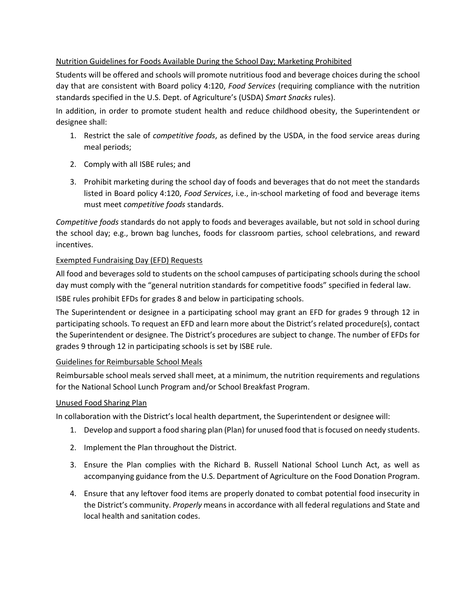## Nutrition Guidelines for Foods Available During the School Day; Marketing Prohibited

Students will be offered and schools will promote nutritious food and beverage choices during the school day that are consistent with Board policy 4:120, *Food Services* (requiring compliance with the nutrition standards specified in the U.S. Dept. of Agriculture's (USDA) *Smart Snacks* rules).

In addition, in order to promote student health and reduce childhood obesity, the Superintendent or designee shall:

- 1. Restrict the sale of *competitive foods*, as defined by the USDA, in the food service areas during meal periods;
- 2. Comply with all ISBE rules; and
- 3. Prohibit marketing during the school day of foods and beverages that do not meet the standards listed in Board policy 4:120, *Food Services*, i.e., in-school marketing of food and beverage items must meet *competitive foods* standards.

*Competitive foods* standards do not apply to foods and beverages available, but not sold in school during the school day; e.g., brown bag lunches, foods for classroom parties, school celebrations, and reward incentives.

## Exempted Fundraising Day (EFD) Requests

All food and beverages sold to students on the school campuses of participating schools during the school day must comply with the "general nutrition standards for competitive foods" specified in federal law.

ISBE rules prohibit EFDs for grades 8 and below in participating schools.

The Superintendent or designee in a participating school may grant an EFD for grades 9 through 12 in participating schools. To request an EFD and learn more about the District's related procedure(s), contact the Superintendent or designee. The District's procedures are subject to change. The number of EFDs for grades 9 through 12 in participating schools is set by ISBE rule.

## Guidelines for Reimbursable School Meals

Reimbursable school meals served shall meet, at a minimum, the nutrition requirements and regulations for the National School Lunch Program and/or School Breakfast Program.

## Unused Food Sharing Plan

In collaboration with the District's local health department, the Superintendent or designee will:

- 1. Develop and support a food sharing plan (Plan) for unused food that is focused on needy students.
- 2. Implement the Plan throughout the District.
- 3. Ensure the Plan complies with the Richard B. Russell National School Lunch Act, as well as accompanying guidance from the U.S. Department of Agriculture on the Food Donation Program.
- 4. Ensure that any leftover food items are properly donated to combat potential food insecurity in the District's community. *Properly* means in accordance with all federal regulations and State and local health and sanitation codes.